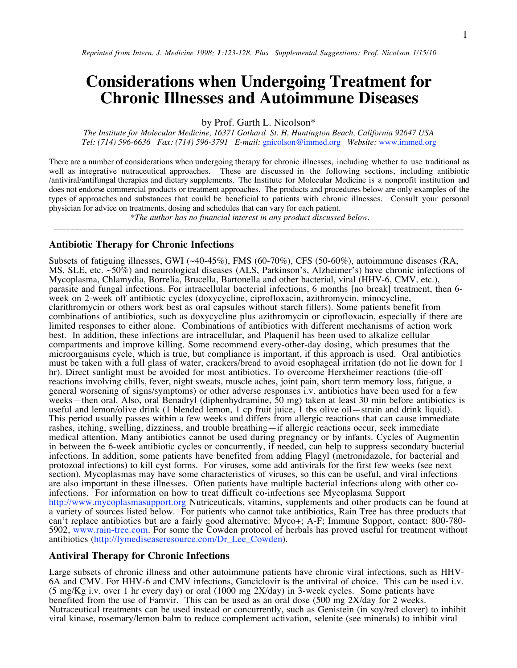# **Considerations when Undergoing Treatment for Chronic Illnesses and Autoimmune Diseases**

by Prof. Garth L. Nicolson\*

*The Institute for Molecular Medicine, 16371 Gothard St. H, Huntington Beach, California 92647 USA Tel: (714) 596-6636 Fax: (714) 596-3791 E-mail:* gnicolson@immed.org *Website:* www.immed.org

There are a number of considerations when undergoing therapy for chronic illnesses, including whether to use traditional as well as integrative nutraceutical approaches. These are discussed in the following sections, including antibiotic /antiviral/antifungal therapies and dietary supplements. The Institute for Molecular Medicine is a nonprofit institution and does not endorse commercial products or treatment approaches. The products and procedures below are only examples of the types of approaches and substances that could be beneficial to patients with chronic illnesses. Consult your personal physician for advice on treatments, dosing and schedules that can vary for each patient.

 *\*The author has no financial interest in any product discussed below.* \_\_\_\_\_\_\_\_\_\_\_\_\_\_\_\_\_\_\_\_\_\_\_\_\_\_\_\_\_\_\_\_\_\_\_\_\_\_\_\_\_\_\_\_\_\_\_\_\_\_\_\_\_\_\_\_\_\_\_\_\_\_\_\_\_\_\_\_\_\_\_\_\_\_\_\_\_\_\_\_\_\_\_\_\_\_\_\_\_\_\_\_\_\_\_\_\_

## **Antibiotic Therapy for Chronic Infections**

Subsets of fatiguing illnesses, GWI (~40-45%), FMS (60-70%), CFS (50-60%), autoimmune diseases (RA, MS, SLE, etc. ~50%) and neurological diseases (ALS, Parkinson's, Alzheimer's) have chronic infections of Mycoplasma, Chlamydia, Borrelia, Brucella, Bartonella and other bacterial, viral (HHV-6, CMV, etc.), parasite and fungal infections. For intracellular bacterial infections, 6 months [no break] treatment, then 6 week on 2-week off antibiotic cycles (doxycycline, ciprofloxacin, azithromycin, minocycline, clarithromycin or others work best as oral capsules without starch fillers). Some patients benefit from combinations of antibiotics, such as doxycycline plus azithromycin or ciprofloxacin, especially if there are limited responses to either alone. Combinations of antibiotics with different mechanisms of action work best. In addition, these infections are intracellular, and Plaquenil has been used to alkalize cellular compartments and improve killing. Some recommend every-other-day dosing, which presumes that the microorganisms cycle, which is true, but compliance is important, if this approach is used. Oral antibiotics must be taken with a full glass of water, crackers/bread to avoid esophageal irritation (do not lie down for 1 hr). Direct sunlight must be avoided for most antibiotics. To overcome Herxheimer reactions (die-off reactions involving chills, fever, night sweats, muscle aches, joint pain, short term memory loss, fatigue, a general worsening of signs/symptoms) or other adverse responses i.v. antibiotics have been used for a few weeks—then oral. Also, oral Benadryl (diphenhydramine, 50 mg) taken at least 30 min before antibiotics is useful and lemon/olive drink (1 blended lemon, 1 cp fruit juice, 1 tbs olive oil—strain and drink liquid). This period usually passes within a few weeks and differs from allergic reactions that can cause immediate rashes, itching, swelling, dizziness, and trouble breathing—if allergic reactions occur, seek immediate medical attention. Many antibiotics cannot be used during pregnancy or by infants. Cycles of Augmentin in between the 6-week antibiotic cycles or concurrently, if needed, can help to suppress secondary bacterial infections. In addition, some patients have benefited from adding Flagyl (metronidazole, for bacterial and protozoal infections) to kill cyst forms. For viruses, some add antivirals for the first few weeks (see next section). Mycoplasmas may have some characteristics of viruses, so this can be useful, and viral infections are also important in these illnesses. Often patients have multiple bacterial infections along with other coinfections. For information on how to treat difficult co-infections see Mycoplasma Support http://www.mycoplasmasupport.org Nutriceuticals, vitamins, supplements and other products can be found at a variety of sources listed below. For patients who cannot take antibiotics, Rain Tree has three products that can't replace antibiotics but are a fairly good alternative: Myco+; A-F; Immune Support, contact: 800-780- 5902, www.rain-tree.com. For some the Cowden protocol of herbals has proved useful for treatment without antibiotics (http://lymediseaseresource.com/Dr\_Lee\_Cowden).

# **Antiviral Therapy for Chronic Infections**

Large subsets of chronic illness and other autoimmune patients have chronic viral infections, such as HHV-6A and CMV. For HHV-6 and CMV infections, Ganciclovir is the antiviral of choice. This can be used i.v. (5 mg/Kg i.v. over 1 hr every day) or oral (1000 mg 2X/day) in 3-week cycles. Some patients have benefited from the use of Famvir. This can be used as an oral dose (500 mg 2X/day for 2 weeks. Nutraceutical treatments can be used instead or concurrently, such as Genistein (in soy/red clover) to inhibit viral kinase, rosemary/lemon balm to reduce complement activation, selenite (see minerals) to inhibit viral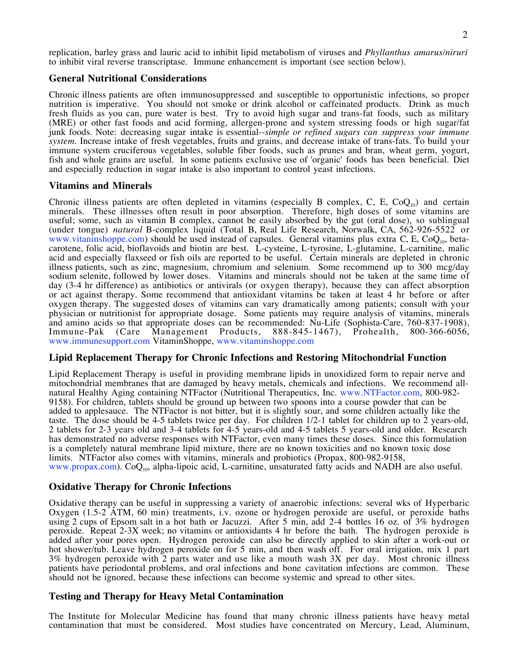replication, barley grass and lauric acid to inhibit lipid metabolism of viruses and *Phyllanthus amarus/niruri* to inhibit viral reverse transcriptase. Immune enhancement is important (see section below).

## **General Nutritional Considerations**

Chronic illness patients are often immunosuppressed and susceptible to opportunistic infections, so proper nutrition is imperative. You should not smoke or drink alcohol or caffeinated products. Drink as much fresh fluids as you can, pure water is best. Try to avoid high sugar and trans-fat foods, such as military (MRE) or other fast foods and acid forming, allergen-prone and system stressing foods or high sugar/fat junk foods. Note: decreasing sugar intake is essential--*simple or refined sugars can suppress your immune system.* Increase intake of fresh vegetables, fruits and grains, and decrease intake of trans-fats. To build your immune system cruciferous vegetables, soluble fiber foods, such as prunes and bran, wheat germ, yogurt, fish and whole grains are useful. In some patients exclusive use of 'organic' foods has been beneficial. Diet and especially reduction in sugar intake is also important to control yeast infections.

# **Vitamins and Minerals**

Chronic illness patients are often depleted in vitamins (especially B complex, C, E, CoQ<sub>10</sub>) and certain minerals. These illnesses often result in poor absorption. Therefore, high doses of some vitamins are useful; some, such as vitamin B complex, cannot be easily absorbed by the gut (oral dose), so sublingual (under tongue) *natural* B-complex liquid (Total B, Real Life Research, Norwalk, CA, 562-926-5522 or www.vitaninshoppe.com) should be used instead of capsules. General vitamins plus extra C, E, CoQ<sub>10</sub>, betacarotene, folic acid, bioflavoids and biotin are best. L-cysteine, L-tyrosine, L-glutamine, L-carnitine, malic acid and especially flaxseed or fish oils are reported to be useful. Certain minerals are depleted in chronic illness patients, such as zinc, magnesium, chromium and selenium. Some recommend up to 300 mcg/day sodium selenite, followed by lower doses. Vitamins and minerals should not be taken at the same time of day (3-4 hr difference) as antibiotics or antivirals (or oxygen therapy), because they can affect absorption or act against therapy. Some recommend that antioxidant vitamins be taken at least 4 hr before or after oxygen therapy. The suggested doses of vitamins can vary dramatically among patients; consult with your physician or nutritionist for appropriate dosage. Some patients may require analysis of vitamins, minerals and amino acids so that appropriate doses can be recommended: Nu-Life (Sophista-Care, 760-837-1908), Immune-Pak (Care Management Products, 888-845-1467), Prohealth, 800-366-6056, www.immunesupport.com VitaminShoppe, www.vitaminshoppe.com

# **Lipid Replacement Therapy for Chronic Infections and Restoring Mitochondrial Function**

Lipid Replacement Therapy is useful in providing membrane lipids in unoxidized form to repair nerve and mitochondrial membranes that are damaged by heavy metals, chemicals and infections. We recommend allnatural Healthy Aging containing NTFactor (Nutritional Therapeutics, Inc. www.NTFactor.com, 800-982- 9158). For children, tablets should be ground up between two spoons into a course powder that can be added to applesauce. The NTFactor is not bitter, but it is slightly sour, and some children actually like the taste. The dose should be 4-5 tablets twice per day. For children 1/2-1 tablet for children up to 2 years-old, 2 tablets for 2-3 years old and 3-4 tablets for 4-5 years-old and 4-5 tablets 5 years-old and older. Research has demonstrated no adverse responses with NTFactor, even many times these doses. Since this formulation is a completely natural membrane lipid mixture, there are no known toxicities and no known toxic dose limits. NTFactor also comes with vitamins, minerals and probiotics (Propax, 800-982-9158, www.propax.com).  $CoQ<sub>10</sub>$ , alpha-lipoic acid, L-carnitine, unsaturated fatty acids and NADH are also useful.

# **Oxidative Therapy for Chronic Infections**

Oxidative therapy can be useful in suppressing a variety of anaerobic infections: several wks of Hyperbaric Oxygen (1.5-2 ATM, 60 min) treatments, i.v. ozone or hydrogen peroxide are useful, or peroxide baths using 2 cups of Epsom salt in a hot bath or Jacuzzi. After 5 min, add 2-4 bottles 16 oz. of 3% hydrogen peroxide. Repeat 2-3X week; no vitamins or antioxidants 4 hr before the bath. The hydrogen peroxide is added after your pores open. Hydrogen peroxide can also be directly applied to skin after a work-out or hot shower/tub. Leave hydrogen peroxide on for 5 min, and then wash off. For oral irrigation, mix 1 part 3% hydrogen peroxide with 2 parts water and use like a mouth wash 3X per day. Most chronic illness patients have periodontal problems, and oral infections and bone cavitation infections are common. These should not be ignored, because these infections can become systemic and spread to other sites.

# **Testing and Therapy for Heavy Metal Contamination**

The Institute for Molecular Medicine has found that many chronic illness patients have heavy metal contamination that must be considered. Most studies have concentrated on Mercury, Lead, Aluminum,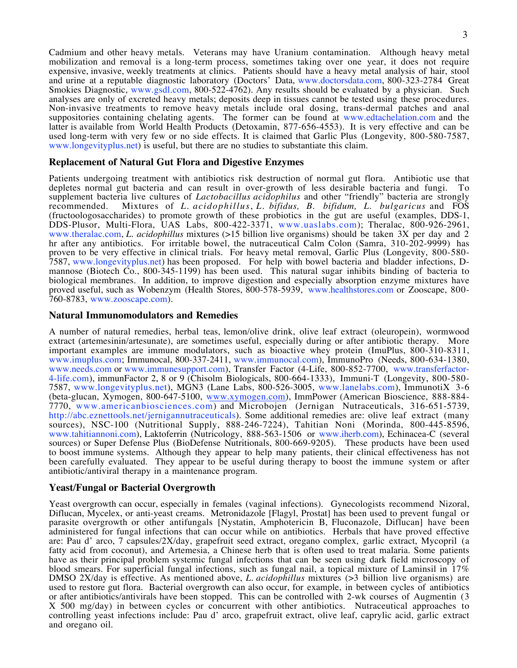Cadmium and other heavy metals. Veterans may have Uranium contamination. Although heavy metal mobilization and removal is a long-term process, sometimes taking over one year, it does not require expensive, invasive, weekly treatments at clinics. Patients should have a heavy metal analysis of hair, stool and urine at a reputable diagnostic laboratory (Doctors' Data, www.doctorsdata.com, 800-323-2784 Great Smokies Diagnostic, www.gsdl.com, 800-522-4762). Any results should be evaluated by a physician. Such analyses are only of excreted heavy metals; deposits deep in tissues cannot be tested using these procedures. Non-invasive treatments to remove heavy metals include oral dosing, trans-dermal patches and anal suppositories containing chelating agents. The former can be found at www.edtachelation.com and the latter is available from World Health Products (Detoxamin, 877-656-4553). It is very effective and can be used long-term with very few or no side effects. It is claimed that Garlic Plus (Longevity, 800-580-7587, www.longevityplus.net) is useful, but there are no studies to substantiate this claim.

# **Replacement of Natural Gut Flora and Digestive Enzymes**

Patients undergoing treatment with antibiotics risk destruction of normal gut flora. Antibiotic use that depletes normal gut bacteria and can result in over-growth of less desirable bacteria and fungi. To depletes normal gut bacteria and can result in over-growth of less desirable bacteria and fungi. supplement bacteria live cultures of *Lactobacillus acidophilus* and other "friendly" bacteria are strongly recommended. Mixtures of *L. acidophillus*, *L. bifidus, B. bifidum, L. bulgaricus* and FOS (fructoologosaccharides) to promote growth of these probiotics in the gut are useful (examples, DDS-1, DDS-Plusor, Multi-Flora, UAS Labs, 800-422-3371, www.uaslabs.com); Theralac, 800-926-2961, www.theralac.com, *L. acidophillus* mixtures (>15 billion live organisms) should be taken 3X per day and 2 hr after any antibiotics. For irritable bowel, the nutraceutical Calm Colon (Samra, 310-202-9999) has proven to be very effective in clinical trials. For heavy metal removal, Garlic Plus (Longevity, 800-580- 7587, www.longevityplus.net) has been proposed. For help with bowel bacteria and bladder infections, Dmannose (Biotech Co., 800-345-1199) has been used. This natural sugar inhibits binding of bacteria to biological membranes. In addition, to improve digestion and especially absorption enzyme mixtures have proved useful, such as Wobenzym (Health Stores, 800-578-5939, www.healthstores.com or Zooscape, 800-760-8783, www.zooscape.com).

# **Natural Immunomodulators and Remedies**

A number of natural remedies, herbal teas, lemon/olive drink, olive leaf extract (oleuropein), wormwood extract (artemesinin/artesunate), are sometimes useful, especially during or after antibiotic therapy. More important examples are immune modulators, such as bioactive whey protein (ImuPlus, 800-310-8311, www.imuplus.com; Immunocal, 800-337-2411, www.immunocal.com), ImmunoPro (Needs, 800-634-1380, www.needs.com or www.immunesupport.com), Transfer Factor (4-Life, 800-852-7700, www.transferfactor-4-life.com), immunFactor 2, 8 or 9 (Chisolm Biologicals, 800-664-1333), Immuni-T (Longevity, 800-580- 7587, www.longevityplus.net), MGN3 (Lane Labs, 800-526-3005, www.lanelabs.com), ImmunotiX 3-6 (beta-glucan, Xymogen, 800-647-5100, www.xymogen.com), ImmPower (American Bioscience, 888-884- 7770, www.americanbiosciences.com) and Microbojen (Jernigan Nutraceuticals, 316-651-5739, http://abc.eznettools.net/jernigannutraceuticals). Some additional remedies are: olive leaf extract (many sources), NSC-100 (Nutritional Supply, 888-246-7224), Tahitian Noni (Morinda, 800-445-8596, www.tahitiannoni.com), Laktoferrin (Nutricology, 888-563-1506 or www.iherb.com), Echinacea-C (several sources) or Super Defense Plus (BioDefense Nutritionals, 800-669-9205). These products have been used to boost immune systems. Although they appear to help many patients, their clinical effectiveness has not been carefully evaluated. They appear to be useful during therapy to boost the immune system or after antibiotic/antiviral therapy in a maintenance program.

# **Yeast/Fungal or Bacterial Overgrowth**

Yeast overgrowth can occur, especially in females (vaginal infections). Gynecologists recommend Nizoral, Diflucan, Mycelex, or anti-yeast creams. Metronidazole [Flagyl, Prostat] has been used to prevent fungal or parasite overgrowth or other antifungals [Nystatin, Amphotericin B, Fluconazole, Diflucan] have been administered for fungal infections that can occur while on antibiotics. Herbals that have proved effective are: Pau d' arco, 7 capsules/2X/day, grapefruit seed extract, oregano complex, garlic extract, Mycopril (a fatty acid from coconut), and Artemesia, a Chinese herb that is often used to treat malaria. Some patients have as their principal problem systemic fungal infections that can be seen using dark field microscopy of blood smears. For superficial fungal infections, such as fungal nail, a topical mixture of Laminsil in 17% DMSO 2X/day is effective. As mentioned above, *L. acidophillus* mixtures (>3 billion live organisms) are used to restore gut flora. Bacterial overgrowth can also occur, for example, in between cycles of antibiotics or after antibiotics/antivirals have been stopped. This can be controlled with 2-wk courses of Augmentin (3 X 500 mg/day) in between cycles or concurrent with other antibiotics. Nutraceutical approaches to controlling yeast infections include: Pau d' arco, grapefruit extract, olive leaf, caprylic acid, garlic extract and oregano oil.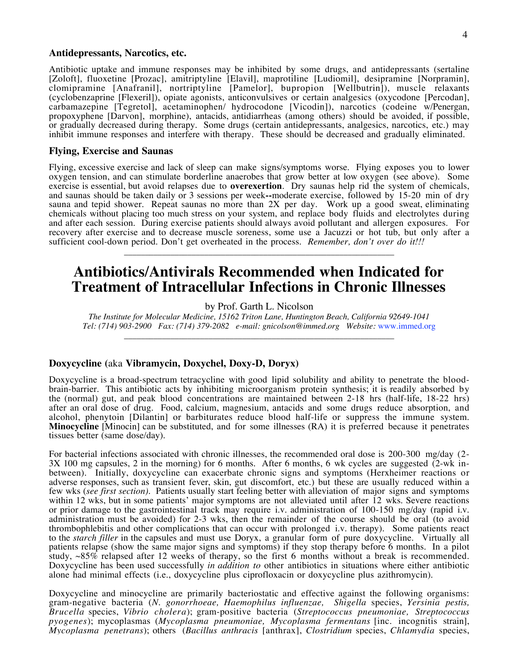## **Antidepressants, Narcotics, etc.**

Antibiotic uptake and immune responses may be inhibited by some drugs, and antidepressants (sertaline [Zoloft], fluoxetine [Prozac], amitriptyline [Elavil], maprotiline [Ludiomil], desipramine [Norpramin], clomipramine [Anafranil], nortriptyline [Pamelor], bupropion [Wellbutrin]), muscle relaxants (cyclobenzaprine [Flexeril]), opiate agonists, anticonvulsives or certain analgesics (oxycodone [Percodan], carbamazepine [Tegretol], acetaminophen/ hydrocodone [Vicodin]), narcotics (codeine w/Penergan, propoxyphene [Darvon], morphine), antacids, antidiarrheas (among others) should be avoided, if possible, or gradually decreased during therapy. Some drugs (certain antidepressants, analgesics, narcotics, etc.) may inhibit immune responses and interfere with therapy. These should be decreased and gradually eliminated.

#### **Flying, Exercise and Saunas**

Flying, excessive exercise and lack of sleep can make signs/symptoms worse. Flying exposes you to lower oxygen tension, and can stimulate borderline anaerobes that grow better at low oxygen (see above). Some exercise is essential, but avoid relapses due to **overexertion**. Dry saunas help rid the system of chemicals, and saunas should be taken daily or 3 sessions per week**--**moderate exercise, followed by 15-20 min of dry sauna and tepid shower. Repeat saunas no more than 2X per day. Work up a good sweat, eliminating chemicals without placing too much stress on your system, and replace body fluids and electrolytes during and after each session. During exercise patients should always avoid pollutant and allergen exposures. For recovery after exercise and to decrease muscle soreness, some use a Jacuzzi or hot tub, but only after a sufficient cool-down period. Don't get overheated in the process. *Remember, don't over do it!!!*

# **Antibiotics/Antivirals Recommended when Indicated for Treatment of Intracellular Infections in Chronic Illnesses**

\_\_\_\_\_\_\_\_\_\_\_\_\_\_\_\_\_\_\_\_\_\_\_\_\_\_\_\_\_\_\_\_\_\_\_\_\_\_\_\_\_\_\_\_\_\_\_\_\_\_\_\_\_\_\_\_\_\_\_\_\_\_\_\_

by Prof. Garth L. Nicolson

*The Institute for Molecular Medicine, 15162 Triton Lane, Huntington Beach, California 92649-1041 Tel: (714) 903-2900 Fax: (714) 379-2082 e-mail: gnicolson@immed.org Website:* www.immed.org \_\_\_\_\_\_\_\_\_\_\_\_\_\_\_\_\_\_\_\_\_\_\_\_\_\_\_\_\_\_\_\_\_\_\_\_\_\_\_\_\_\_\_\_\_\_\_\_\_\_\_\_\_\_\_\_\_\_\_\_\_\_\_\_

# **Doxycycline (**aka **Vibramycin, Doxychel, Doxy-D, Doryx)**

Doxycycline is a broad-spectrum tetracycline with good lipid solubility and ability to penetrate the bloodbrain-barrier. This antibiotic acts by inhibiting microorganism protein synthesis; it is readily absorbed by the (normal) gut, and peak blood concentrations are maintained between 2-18 hrs (half-life, 18-22 hrs) after an oral dose of drug. Food, calcium, magnesium, antacids and some drugs reduce absorption, and alcohol, phenytoin [Dilantin] or barbiturates reduce blood half-life or suppress the immune system. **Minocycline** [Minocin] can be substituted, and for some illnesses (RA) it is preferred because it penetrates tissues better (same dose/day).

For bacterial infections associated with chronic illnesses, the recommended oral dose is 200-300 mg/day (2- 3X 100 mg capsules, 2 in the morning) for 6 months. After 6 months, 6 wk cycles are suggested (2-wk inbetween). Initially, doxycycline can exacerbate chronic signs and symptoms (Herxheimer reactions or adverse responses, such as transient fever, skin, gut discomfort, etc.) but these are usually reduced within a few wks (*see first section)*. Patients usually start feeling better with alleviation of major signs and symptoms within 12 wks, but in some patients' major symptoms are not alleviated until after 12 wks. Severe reactions or prior damage to the gastrointestinal track may require i.v. administration of 100-150 mg/day (rapid i.v. administration must be avoided) for 2-3 wks, then the remainder of the course should be oral (to avoid thrombophlebitis and other complications that can occur with prolonged i.v. therapy). Some patients react to the *starch filler* in the capsules and must use Doryx, a granular form of pure doxycycline. Virtually all patients relapse (show the same major signs and symptoms) if they stop therapy before 6 months. In a pilot study, ~85% relapsed after 12 weeks of therapy, so the first 6 months without a break is recommended. Doxycycline has been used successfully *in addition to* other antibiotics in situations where either antibiotic alone had minimal effects (i.e., doxycycline plus ciprofloxacin or doxycycline plus azithromycin).

Doxycycline and minocycline are primarily bacteriostatic and effective against the following organisms: gram-negative bacteria (*N. gonorrhoeae, Haemophilus influenzae, Shigella* species, *Yersinia pestis, Brucella* species, *Vibrio cholera*); gram-positive bacteria (*Streptococcus pneumoniae, Streptococcus pyogenes*); mycoplasmas (*Mycoplasma pneumoniae, Mycoplasma fermentans* [inc. incognitis strain], *Mycoplasma penetrans*); others (*Bacillus anthracis* [anthrax], *Clostridium* species, *Chlamydia* species,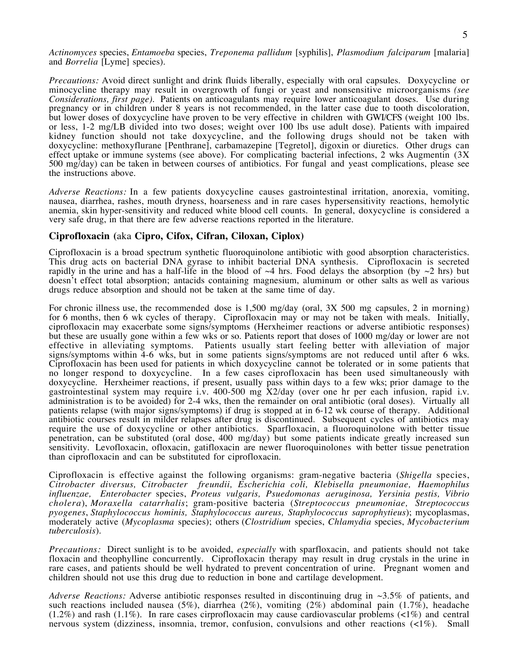*Actinomyces* species, *Entamoeba* species, *Treponema pallidum* [syphilis], *Plasmodium falciparum* [malaria] and *Borrelia* [Lyme] species).

*Precautions:* Avoid direct sunlight and drink fluids liberally, especially with oral capsules. Doxycycline or minocycline therapy may result in overgrowth of fungi or yeast and nonsensitive microorganisms *(see Considerations, first page).* Patients on anticoagulants may require lower anticoagulant doses. Use during pregnancy or in children under 8 years is not recommended, in the latter case due to tooth discoloration, but lower doses of doxycycline have proven to be very effective in children with GWI/CFS (weight 100 lbs. or less, 1-2 mg/LB divided into two doses; weight over 100 lbs use adult dose). Patients with impaired kidney function should not take doxycycline, and the following drugs should not be taken with doxycycline: methoxyflurane [Penthrane], carbamazepine [Tegretol], digoxin or diuretics. Other drugs can effect uptake or immune systems (see above). For complicating bacterial infections, 2 wks Augmentin (3X 500 mg/day) can be taken in between courses of antibiotics. For fungal and yeast complications, please see the instructions above.

*Adverse Reactions:* In a few patients doxycycline causes gastrointestinal irritation, anorexia, vomiting, nausea, diarrhea, rashes, mouth dryness, hoarseness and in rare cases hypersensitivity reactions, hemolytic anemia, skin hyper-sensitivity and reduced white blood cell counts. In general, doxycycline is considered a very safe drug, in that there are few adverse reactions reported in the literature.

# **Ciprofloxacin (**aka **Cipro, Cifox, Cifran, Ciloxan, Ciplox)**

Ciprofloxacin is a broad spectrum synthetic fluoroquinolone antibiotic with good absorption characteristics. This drug acts on bacterial DNA gyrase to inhibit bacterial DNA synthesis. Ciprofloxacin is secreted rapidly in the urine and has a half-life in the blood of  $\sim$ 4 hrs. Food delays the absorption (by  $\sim$ 2 hrs) but doesn't effect total absorption; antacids containing magnesium, aluminum or other salts as well as various drugs reduce absorption and should not be taken at the same time of day.

For chronic illness use, the recommended dose is 1,500 mg/day (oral, 3X 500 mg capsules, 2 in morning) for 6 months, then 6 wk cycles of therapy. Ciprofloxacin may or may not be taken with meals. Initially, ciprofloxacin may exacerbate some signs/symptoms (Herxheimer reactions or adverse antibiotic responses) but these are usually gone within a few wks or so. Patients report that doses of 1000 mg/day or lower are not effective in alleviating symptoms. Patients usually start feeling better with alleviation of major signs/symptoms within 4-6 wks, but in some patients signs/symptoms are not reduced until after 6 wks. Ciprofloxacin has been used for patients in which doxycycline cannot be tolerated or in some patients that no longer respond to doxycycline. In a few cases ciprofloxacin has been used simultaneously with doxycycline. Herxheimer reactions, if present, usually pass within days to a few wks; prior damage to the gastrointestinal system may require i.v. 400-500 mg X2/day (over one hr per each infusion, rapid i.v. administration is to be avoided) for 2-4 wks, then the remainder on oral antibiotic (oral doses). Virtually all patients relapse (with major signs/symptoms) if drug is stopped at in 6-12 wk course of therapy. Additional antibiotic courses result in milder relapses after drug is discontinued. Subsequent cycles of antibiotics may require the use of doxycycline or other antibiotics. Sparfloxacin, a fluoroquinolone with better tissue penetration, can be substituted (oral dose, 400 mg/day) but some patients indicate greatly increased sun sensitivity. Levofloxacin, ofloxacin, gatifloxacin are newer fluoroquinolones with better tissue penetration than ciprofloxacin and can be substituted for ciprofloxacin.

Ciprofloxacin is effective against the following organisms: gram-negative bacteria (*Shigella* species, *Citrobacter diversus, Citrobacter freundii, Escherichia coli, Klebisella pneumoniae, Haemophilus influenzae, Enterobacter* species, *Proteus vulgaris, Psuedomonas aeruginosa, Yersinia pestis, Vibrio cholera*), *Moraxella catarrhalis*; gram-positive bacteria (*Streptococcus pneumoniae, Streptococcus pyogenes*, *Staphylococcus hominis, Staphylococcus aureus, Staphylococcus saprophytieus*); mycoplasmas, moderately active (*Mycoplasma* species); others (*Clostridium* species, *Chlamydia* species, *Mycobacterium tuberculosis*).

*Precautions:* Direct sunlight is to be avoided, *especially* with sparfloxacin, and patients should not take floxacin and theophylline concurrently. Ciprofloxacin therapy may result in drug crystals in the urine in rare cases, and patients should be well hydrated to prevent concentration of urine. Pregnant women and children should not use this drug due to reduction in bone and cartilage development.

*Adverse Reactions:* Adverse antibiotic responses resulted in discontinuing drug in ~3.5% of patients, and such reactions included nausea (5%), diarrhea (2%), vomiting (2%) abdominal pain (1.7%), headache  $(1.2\%)$  and rash  $(1.1\%)$ . In rare cases cirprofloxacin may cause cardiovascular problems  $(\langle 1\% \rangle)$  and central nervous system (dizziness, insomnia, tremor, confusion, convulsions and other reactions (<1%). Small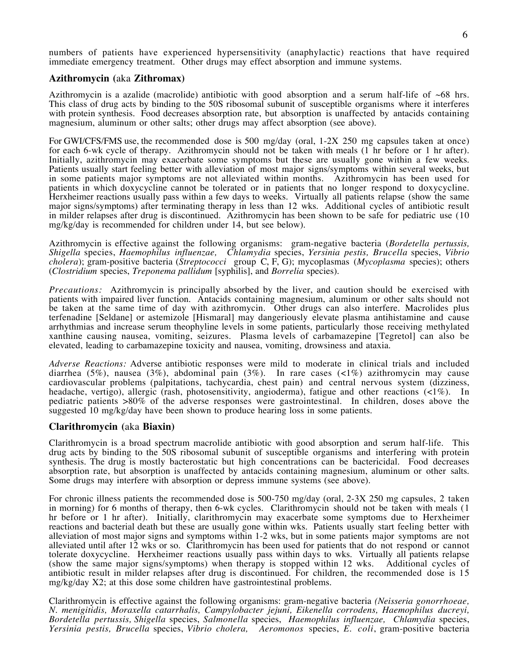numbers of patients have experienced hypersensitivity (anaphylactic) reactions that have required immediate emergency treatment. Other drugs may effect absorption and immune systems.

## **Azithromycin (**aka **Zithromax)**

Azithromycin is a azalide (macrolide) antibiotic with good absorption and a serum half-life of  $~68$  hrs. This class of drug acts by binding to the 50S ribosomal subunit of susceptible organisms where it interferes with protein synthesis. Food decreases absorption rate, but absorption is unaffected by antacids containing magnesium, aluminum or other salts; other drugs may affect absorption (see above).

For GWI/CFS/FMS use, the recommended dose is 500 mg/day (oral, 1-2X 250 mg capsules taken at once) for each 6-wk cycle of therapy. Azithromycin should not be taken with meals (1 hr before or 1 hr after). Initially, azithromycin may exacerbate some symptoms but these are usually gone within a few weeks. Patients usually start feeling better with alleviation of most major signs/symptoms within several weeks, but in some patients major symptoms are not alleviated within months. Azithromycin has been used for patients in which doxycycline cannot be tolerated or in patients that no longer respond to doxycycline. Herxheimer reactions usually pass within a few days to weeks. Virtually all patients relapse (show the same major signs/symptoms) after terminating therapy in less than 12 wks. Additional cycles of antibiotic result in milder relapses after drug is discontinued. Azithromycin has been shown to be safe for pediatric use (10 mg/kg/day is recommended for children under 14, but see below).

Azithromycin is effective against the following organisms: gram-negative bacteria (*Bordetella pertussis, Shigella* species, *Haemophilus influenzae, Chlamydia* species, *Yersinia pestis, Brucella* species, *Vibrio cholera*); gram-positive bacteria (*Streptococci* group C, F, G); mycoplasmas (*Mycoplasma* species); others (*Clostridium* species, *Treponema pallidum* [syphilis], and *Borrelia* species).

*Precautions:* Azithromycin is principally absorbed by the liver, and caution should be exercised with patients with impaired liver function. Antacids containing magnesium, aluminum or other salts should not be taken at the same time of day with azithromycin. Other drugs can also interfere. Macrolides plus terfenadine [Seldane] or astemizole [Hismaral] may dangeriously elevate plasma antihistamine and cause arrhythmias and increase serum theophyline levels in some patients, particularly those receiving methylated xanthine causing nausea, vomiting, seizures. Plasma levels of carbamazepine [Tegretol] can also be elevated, leading to carbamazepine toxicity and nausea, vomiting, drowsiness and ataxia.

*Adverse Reactions:* Adverse antibiotic responses were mild to moderate in clinical trials and included diarrhea (5%), nausea (3%), abdominal pain (3%). In rare cases (<1%) azithromycin may cause cardiovascular problems (palpitations, tachycardia, chest pain) and central nervous system (dizziness, headache, vertigo), allergic (rash, photosensitivity, angioderma), fatigue and other reactions (<1%). In pediatric patients >80% of the adverse responses were gastrointestinal. In children, doses above the suggested 10 mg/kg/day have been shown to produce hearing loss in some patients.

# **Clarithromycin (**aka **Biaxin)**

Clarithromycin is a broad spectrum macrolide antibiotic with good absorption and serum half-life. This drug acts by binding to the 50S ribosomal subunit of susceptible organisms and interfering with protein synthesis. The drug is mostly bacterostatic but high concentrations can be bactericidal. Food decreases absorption rate, but absorption is unaffected by antacids containing magnesium, aluminum or other salts. Some drugs may interfere with absorption or depress immune systems (see above).

For chronic illness patients the recommended dose is 500-750 mg/day (oral, 2-3X 250 mg capsules, 2 taken in morning) for 6 months of therapy, then 6-wk cycles. Clarithromycin should not be taken with meals (1 hr before or 1 hr after). Initially, clarithromycin may exacerbate some symptoms due to Herxheimer reactions and bacterial death but these are usually gone within wks. Patients usually start feeling better with alleviation of most major signs and symptoms within 1-2 wks, but in some patients major symptoms are not alleviated until after 12 wks or so. Clarithromycin has been used for patients that do not respond or cannot tolerate doxycycline. Herxheimer reactions usually pass within days to wks. Virtually all patients relapse (show the same major signs/symptoms) when therapy is stopped within 12 wks. Additional cycles of antibiotic result in milder relapses after drug is discontinued. For children, the recommended dose is 15 mg/kg/day X2; at this dose some children have gastrointestinal problems.

Clarithromycin is effective against the following organisms: gram-negative bacteria *(Neisseria gonorrhoeae, N. menigitidis, Moraxella catarrhalis, Campylobacter jejuni, Eikenella corrodens, Haemophilus ducreyi, Bordetella pertussis, Shigella* species, *Salmonella* species, *Haemophilus influenzae, Chlamydia* species, *Yersinia pestis, Brucella* species, *Vibrio cholera, Aeromonos* species, *E. coli*, gram-positive bacteria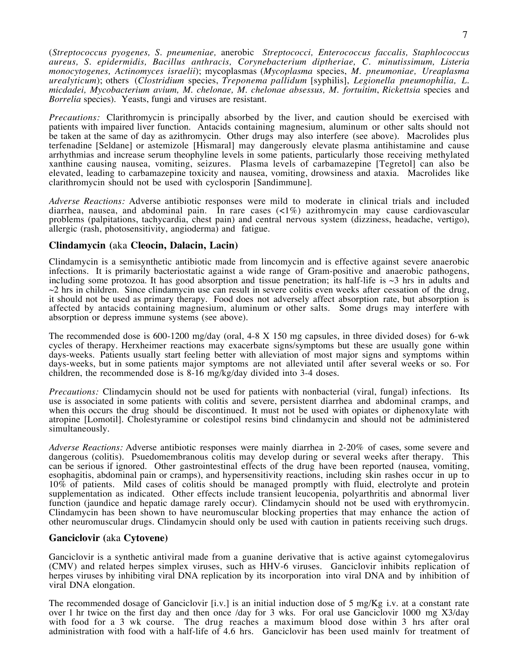(*Streptococcus pyogenes, S. pneumeniae,* anerobic *Streptococci, Enterococcus faccalis, Staphlococcus aureus, S. epidermidis, Bacillus anthracis, Corynebacterium diptheriae, C. minutissimum, Listeria monocytogenes, Actinomyces israelii*); mycoplasmas (*Mycoplasma* species, *M. pneumoniae, Ureaplasma urealyticum*); others (*Clostridium* species, *Treponema pallidum* [syphilis], *Legionella pneumophilia, L. micdadei, Mycobacterium avium, M. chelonae, M. chelonae absessus, M. fortuitim*, *Rickettsia* species and *Borrelia* species). Yeasts, fungi and viruses are resistant.

*Precautions:* Clarithromycin is principally absorbed by the liver, and caution should be exercised with patients with impaired liver function. Antacids containing magnesium, aluminum or other salts should not be taken at the same of day as azithromycin. Other drugs may also interfere (see above). Macrolides plus terfenadine [Seldane] or astemizole [Hismaral] may dangerously elevate plasma antihistamine and cause arrhythmias and increase serum theophyline levels in some patients, particularly those receiving methylated xanthine causing nausea, vomiting, seizures. Plasma levels of carbamazepine [Tegretol] can also be elevated, leading to carbamazepine toxicity and nausea, vomiting, drowsiness and ataxia. Macrolides like clarithromycin should not be used with cyclosporin [Sandimmune].

*Adverse Reactions:* Adverse antibiotic responses were mild to moderate in clinical trials and included diarrhea, nausea, and abdominal pain. In rare cases (<1%) azithromycin may cause cardiovascular problems (palpitations, tachycardia, chest pain) and central nervous system (dizziness, headache, vertigo), allergic (rash, photosensitivity, angioderma) and fatigue.

# **Clindamycin (**aka **Cleocin, Dalacin, Lacin)**

Clindamycin is a semisynthetic antibiotic made from lincomycin and is effective against severe anaerobic infections. It is primarily bacteriostatic against a wide range of Gram-positive and anaerobic pathogens, including some protozoa. It has good absorption and tissue penetration; its half-life is  $\sim$ 3 hrs in adults and  $\sim$ 2 hrs in children. Since clindamycin use can result in severe colitis even weeks after cessation of the drug, it should not be used as primary therapy. Food does not adversely affect absorption rate, but absorption is affected by antacids containing magnesium, aluminum or other salts. Some drugs may interfere with absorption or depress immune systems (see above).

The recommended dose is 600-1200 mg/day (oral, 4-8 X 150 mg capsules, in three divided doses) for 6-wk cycles of therapy. Herxheimer reactions may exacerbate signs/symptoms but these are usually gone within days-weeks. Patients usually start feeling better with alleviation of most major signs and symptoms within days-weeks, but in some patients major symptoms are not alleviated until after several weeks or so. For children, the recommended dose is 8-16 mg/kg/day divided into 3-4 doses.

*Precautions:* Clindamycin should not be used for patients with nonbacterial (viral, fungal) infections. Its use is associated in some patients with colitis and severe, persistent diarrhea and abdominal cramps, and when this occurs the drug should be discontinued. It must not be used with opiates or diphenoxylate with atropine [Lomotil]. Cholestyramine or colestipol resins bind clindamycin and should not be administered simultaneously.

*Adverse Reactions:* Adverse antibiotic responses were mainly diarrhea in 2-20% of cases, some severe and dangerous (colitis). Psuedomembranous colitis may develop during or several weeks after therapy. This can be serious if ignored. Other gastrointestinal effects of the drug have been reported (nausea, vomiting, esophagitis, abdominal pain or cramps), and hypersensitivity reactions, including skin rashes occur in up to 10% of patients. Mild cases of colitis should be managed promptly with fluid, electrolyte and protein supplementation as indicated. Other effects include transient leucopenia, polyarthritis and abnormal liver function (jaundice and hepatic damage rarely occur). Clindamycin should not be used with erythromycin. Clindamycin has been shown to have neuromuscular blocking properties that may enhance the action of other neuromuscular drugs. Clindamycin should only be used with caution in patients receiving such drugs.

# **Ganciclovir (**aka **Cytovene)**

Ganciclovir is a synthetic antiviral made from a guanine derivative that is active against cytomegalovirus (CMV) and related herpes simplex viruses, such as HHV-6 viruses. Ganciclovir inhibits replication of herpes viruses by inhibiting viral DNA replication by its incorporation into viral DNA and by inhibition of viral DNA elongation.

The recommended dosage of Ganciclovir [i.v.] is an initial induction dose of 5 mg/Kg i.v. at a constant rate over 1 hr twice on the first day and then once /day for 3 wks. For oral use Ganciclovir 1000 mg X3/day with food for a 3 wk course. The drug reaches a maximum blood dose within 3 hrs after oral administration with food with a half-life of 4.6 hrs. Ganciclovir has been used mainly for treatment of